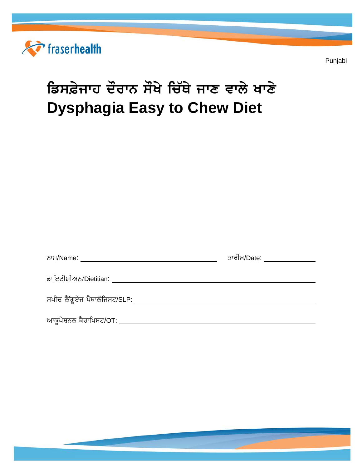

Punjabi

# ਡਿਸਫ਼ੇਜਾਹ ਦੌਰਾਨ ਸੌਖੇ ਚਿੱਥੇ ਜਾਣ ਵਾਲੇ ਖਾਣੇ **Dysphagia Easy to Chew Diet**

|                                                          | <u>ਤਾਰੀਖ਼/Date: ______________</u> |
|----------------------------------------------------------|------------------------------------|
| ਡਾਇਟੀਸ਼ੀਅਨ/Dietitian: __________________________________ |                                    |
| ਸਪੀਚ ਲੈਂਗੁਏਜ ਪੈਥਾਲੋਜਿਸਟ/SLP: ____________                |                                    |
| ਆਕੁਪੇਸ਼ਨਲ ਥੈਰਾਪਿਸਟ/OT: ___________                       |                                    |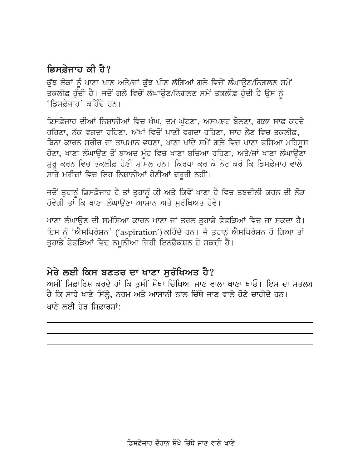## ਡਿਸਫੇਜਾਰ ਕੀ ਹੈ?

ਕੱਝ ਲੋਕਾਂ ਨੂੰ ਖਾਣਾ ਖਾਣ ਅਤੇ/ਜਾਂ ਕੱਝ ਪੀਣ ਲੱਗਿਆਂ ਗਲੇ ਵਿਚੋਂ ਲੰਘਾੳਣ/ਨਿਗਲਣ ਸਮੇਂ ਤਕਲੀਫ਼ ਹੁੰਦੀ ਹੈ। ਜਦੋਂ ਗਲੇ ਵਿਚੋਂ ਲੰਘਾਉਣ/ਨਿਗਲਣ ਸਮੇਂ ਤਕਲੀਫ਼ ਹੁੰਦੀ ਹੈ ਉਸ ਨੂੰ 'ਡਿਸਫ਼ੇਜ਼ਾਹ' ਕਹਿੰਦੇ ਹਨ।

ਡਿਸਫ਼ੇਜਾਹ ਦੀਆਂ ਨਿਸ਼ਾਨੀਆਂ ਵਿਚ ਖੰਘ, ਦਮ ਘੱਟਣਾ, ਅਸਪਸ਼ਟ ਬੋਲਣਾ, ਗਲਾ ਸਾਫ਼ ਕਰਦੇ ਰਹਿਣਾ, ਨੱਕ ਵਗਦਾ ਰਹਿਣਾ, ਅੱਖਾਂ ਵਿਚੋਂ ਪਾਣੀ ਵਗਦਾ ਰਹਿਣਾ, ਸਾਹ ਲੈਣ ਵਿਚ ਤਕਲੀਫ਼, ਬਿਨਾ ਕਾਰਨ ਸਰੀਰ ਦਾ ਤਾਪਮਾਨ ਵਧਣਾ, ਖਾਣਾ ਖਾਂਦੇ ਸਮੇਂ ਗਲ਼ੇ ਵਿਚ ਖਾਣਾ ਫਸਿਆ ਮਹਿਸੂਸ ਹੋਣਾ, ਖਾਣਾ ਲੰਘਾਉਣ ਤੋਂ ਬਾਅਦ ਮੂੰਹ ਵਿਚ ਖਾਣਾ ਬਚਿਆ ਰਹਿਣਾ, ਅਤੇ/ਜਾਂ ਖਾਣਾ ਲੰਘਾਉਣਾ ਸ਼ੁਰੂ ਕਰਨ ਵਿਚ ਤਕਲੀਫ਼ ਹੋਣੀ ਸ਼ਾਮਲ ਹਨ। ਕਿਰਪਾ ਕਰ ਕੇ ਨੋਟ ਕਰੋ ਕਿ ਡਿਸਫ਼ੇਜਾਹ ਵਾਲੇ ਸਾਰੇ ਮਰੀਜ਼ਾਂ ਵਿਚ ਇਹ ਨਿਸ਼ਾਨੀਆਂ ਹੋਣੀਆਂ ਜ਼ਰੂਰੀ ਨਹੀਂ।

ਜਦੋਂ ਤੁਹਾਨੂੰ ਡਿਸਫ਼ੇਜਾਹ ਹੈ ਤਾਂ ਤੁਹਾਨੂੰ ਕੀ ਅਤੇ ਕਿਵੇਂ ਖਾਣਾ ਹੈ ਵਿਚ ਤਬਦੀਲੀ ਕਰਨ ਦੀ ਲੋੜ ਹੋਵੇਗੀ ਤਾਂ ਕਿ ਖਾਣਾ ਲੰਘਾੳਣਾ ਆਸਾਨ ਅਤੇ ਸਰੱਖਿਅਤ ਹੋਵੇ।

ਖਾਣਾ ਲੰਘਾਉਣ ਦੀ ਸਮੱਸਿਆ ਕਾਰਨ ਖਾਣਾ ਜਾਂ ਤਰਲ ਤੁਹਾਡੇ ਫੇਫੜਿਆਂ ਵਿਚ ਜਾ ਸਕਦਾ ਹੈ। ਇਸ ਨੂੰ 'ਐਸਪਿਰੇਸ਼ਨ' ('aspiration') ਕਹਿੰਦੇ ਹਨ। ਜੇ ਤੁਹਾਨੂੰ ਐਸਪਿਰੇਸ਼ਨ ਹੋ ਗਿਆ ਤਾਂ ਤੁਹਾਡੇ ਫੇਫੜਿਆਂ ਵਿਚ ਨਮੁਨੀਆ ਜਿਹੀ ਇਨਫ਼ੈਕਸ਼ਨ ਹੋ ਸਕਦੀ ਹੈ।

#### ਮੇਰੇ ਲਈ ਕਿਸ ਬਣਤਰ ਦਾ ਖਾਣਾ ਸੁਰੱਖਿਅਤ ਹੈ?

ਅਸੀਂ ਸਿਫ਼ਾਰਿਸ਼ ਕਰਦੇ ਹਾਂ ਕਿ ਤੁਸੀਂ ਸੌਖਾ ਚਿੱਥਿਆ ਜਾਣ ਵਾਲਾ ਖਾਣਾ ਖਾਓ। ਇਸ ਦਾ ਮਤਲਬ ਹੈ ਕਿ ਸਾਰੇ ਖਾਣੇ ਸਿੱਲ੍ਹੇ, ਨਰਮ ਅਤੇ ਆਸਾਨੀ ਨਾਲ ਚਿੱਥੇ ਜਾਣ ਵਾਲੇ ਹੋਣੇ ਚਾਹੀਦੇ ਹਨ। ਖਾਣੇ ਲਈ ਹੋਰ ਸਿਫ਼ਾਰਸ਼ਾਂ: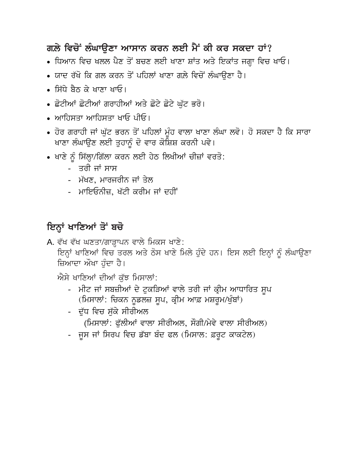### ਗਲ਼ੇ ਵਿਚੋਂ ਲੰਘਾੳਣਾ ਆਸਾਨ ਕਰਨ ਲਈ ਮੈਂ ਕੀ ਕਰ ਸਕਦਾ ਹਾਂ?

- ਧਿਆਨ ਵਿਚ ਖਲਲ ਪੈਣ ਤੋਂ ਬਚਣ ਲਈ ਖਾਣਾ ਸ਼ਾਂਤ ਅਤੇ ਇਕਾਂਤ ਜਗ੍ਹਾ ਵਿਚ ਖਾਓ।
- ਯਾਦ ਰੱਖੋ ਕਿ ਗਲ ਕਰਨ ਤੋਂ ਪਹਿਲਾਂ ਖਾਣਾ ਗਲ਼ੇ ਵਿਚੋਂ ਲੰਘਾੳਣਾ ਹੈ।
- ਸਿੱਧੇ ਸੈਨ ਕੇ ਖਾਣਾ ਖਾਓ।
- ਛੋਟੀਆਂ ਛੋਟੀਆਂ ਗਰਾਹੀਆਂ ਅਤੇ ਛੋਟੇ ਛੋਟੇ ਘੁੱਟ ਭਰੋ।
- ਆਹਿਸਤਾ ਆਹਿਸਤਾ ਖਾਓ ਪੀਓ।
- ਹੋਰ ਗਰਾਹੀ ਜਾਂ ਘੱਟ ਭਰਨ ਤੋਂ ਪਹਿਲਾਂ ਮੰਹ ਵਾਲਾ ਖਾਣਾ ਲੰਘਾ ਲਵੋ। ਹੋ ਸਕਦਾ ਹੈ ਕਿ ਸਾਰਾ ਖਾਣਾ ਲੰਘਾਉਣ ਲਈ ਤੁਹਾਨੂੰ ਦੋ ਵਾਰ ਕੋਸ਼ਿਸ਼ ਕਰਨੀ ਪਵੇ।
- ਖਾਣੇ ਨੂੰ ਸਿੱਲ੍ਹਾ/ਗਿੱਲਾ ਕਰਨ ਲਈ ਹੇਠ ਲਿਖੀਆਂ ਚੀਜ਼ਾਂ ਵਰਤੋ:
	- ਤਰੀ ਜਾਂ ਸਾਸ
	- ਮੱਖਣ. ਮਾਰਜਰੀਨ ਜਾਂ ਤੇਲ
	- ਮਾਇਓਨੀਜ਼, ਖੱਟੀ ਕਰੀਮ ਜਾਂ ਦਹੀਂ

# ਇਨ੍ਹਾਂ ਖਾਣਿਆਂ ਤੋਂ ਬਚੋ

A. ਵੱਖ ਵੱਖ ਘਣਤਾ/ਗਾੜ੍ਹਾਪਨ ਵਾਲੇ ਮਿਕਸ ਖਾਣੇ:

ਇਨ੍ਹਾਂ ਖਾਣਿਆਂ ਵਿਚ ਤਰਲ ਅਤੇ ਠੋਸ ਖਾਣੇ ਮਿਲੇ ਹੁੰਦੇ ਹਨ। ਇਸ ਲਈ ਇਨ੍ਹਾਂ ਨੂੰ ਲੰਘਾਉਣਾ ਜ਼ਿਆਦਾ ਔਖਾ ਹੰਦਾ ਹੈ।

ਐਸੇ ਖਾਣਿਆਂ ਦੀਆਂ ਕੱਝ ਮਿਸਾਲਾਂ:

- ਮੀਟ ਜਾਂ ਸਬਜ਼ੀਆਂ ਦੇ ਟੁਕੜਿਆਂ ਵਾਲੇ ਤਰੀ ਜਾਂ ਕ੍ਰੀਮ ਆਧਾਰਿਤ ਸੁਪ (ਮਿਸਾਲਾਂ: ਚਿਕਨ ਨੂਡਲਜ਼ ਸੁਪ, ਕ੍ਰੀਮ ਆਫ਼ ਮਸ਼ਰੂਮ/ਖੁੰਬਾਂ)
- ਦੁੱਧ ਵਿਚ ਸੁੱਕੇ ਸੀਰੀਅਲ (ਮਿਸਾਲਾਂ: ਫੁੱਲੀਆਂ ਵਾਲਾ ਸੀਰੀਅਲ, ਸੌਗੀ/ਮੇਵੇ ਵਾਲਾ ਸੀਰੀਅਲ)
- ਜੂਸ ਜਾਂ ਸਿਰਪ ਵਿਚ ਡੱਬਾ ਬੰਦ ਫਲ (ਮਿਸਾਲ: ਫ਼ਰੂਟ ਕਾਕਟੇਲ)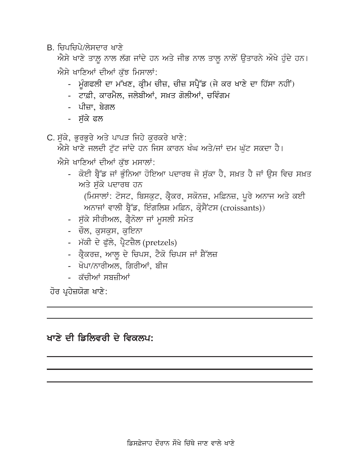B. ਜਿਪਜਿਪੇ/ਲੇਸਦਾਰ ਖਾਣੇ

ਐਸੇ ਖਾਣੇ ਤਾਲ਼ ਨਾਲ ਲੱਗ ਜਾਂਦੇ ਹਨ ਅਤੇ ਜੀਭ ਨਾਲ ਤਾਲ ਨਾਲੋਂ ਉਤਾਰਨੇ ਔਖੇ ਹੰਦੇ ਹਨ। ਐਸੇ ਖਾਣਿਆਂ ਦੀਆਂ ਕੱਝ ਮਿਸਾਲਾਂ:

- ਮੁੰਗਫਲੀ ਦਾ ਮੱਖਣ, ਕ੍ਰੀਮ ਚੀਜ਼, ਚੀਜ਼ ਸਪ੍ਰੈੱਡ (ਜੇ ਕਰ ਖਾਣੇ ਦਾ ਹਿੱਸਾ ਨਹੀਂ)
- ਟਾਫ਼ੀ, ਕਾਰਮੈਲ, ਜਲੇਬੀਆਂ, ਸਖ਼ਤ ਗੋਲੀਆਂ, ਚਵਿੰਗਮ
- ਪੀਜ਼ਾ, ਬੇਗਲ
- ਸੱਕੇ ਫਲ
- C. ਸੱਕੇ, ਭਰਭਰੇ ਅਤੇ ਪਾਪੜ ਜਿਹੇ ਕਰਕਰੇ ਖਾਣੇ:

ਐਸੇ ਖਾਣੇ ਜਲਦੀ ਟੱਟ ਜਾਂਦੇ ਹਨ ਜਿਸ ਕਾਰਨ ਖੰਘ ਅਤੇ/ਜਾਂ ਦਮ ਘੱਟ ਸਕਦਾ ਹੈ।

- ਐਸੇ ਖਾਣਿਆਂ ਦੀਆਂ ਕੱਝ ਮਸਾਲਾਂ:
	- ਕੋਈ ਬ੍ਰੈੱਡ ਜਾਂ ਭੁੰਨਿਆ ਹੋਇਆ ਪਦਾਰਥ ਜੋ ਸੁੱਕਾ ਹੈ, ਸਖ਼ਤ ਹੈ ਜਾਂ ਉਸ ਵਿਚ ਸਖ਼ਤ ਅਤੇ ਸੱਕੇ ਪਦਾਰਥ ਹਨ (ਮਿਸਾਲਾਂ: ਟੋਸਟ, ਬਿਸਕੁਟ, ਕ੍ਰੈਕਰ, ਸਕੋਨਜ਼, ਮਫ਼ਿਨਜ਼, ਪੂਰੇ ਅਨਾਜ ਅਤੇ ਕਈ ਅਨਾਜਾਂ ਵਾਲੀ ਬ੍ਰੈੱਡ, ਇੰਗਲਿਸ਼ ਮਫ਼ਿਨ, ਕ੍ਰੋਸੈਂਟਸ (croissants))
	- ਸੱਕੇ ਸੀਰੀਅਲ, ਗ੍ਰੈਨੋਲਾ ਜਾਂ ਮਸਲੀ ਸਮੇਤ
	- ਚੌਲ, ਕਸਕਸ, ਕਇਨਾ
	- ਮੱਕੀ ਦੇ ਫੁੱਲੇ, ਪ੍ਰੈਟਜ਼ੈਲ (pretzels)
	- ਕ੍ਰੈਕਰਜ਼, ਆਲੂ ਦੇ ਚਿਪਸ, ਟੈਕੋ ਚਿਪਸ ਜਾਂ ਸ਼ੈੱਲਜ਼
	- ਖੋਪਾ/ਨਾਰੀਅਲ, ਗਿਰੀਆਂ, ਬੀਜ
	- ਕੱਚੀਆਂ ਸਬਜੀਆਂ

ਹੋਰ ਪ੍ਰਹੇਜ਼ਯੋਗ ਖਾਣੇ:

## ਖਾਣੇ ਦੀ ਡਿਲਿਵਰੀ ਦੇ ਵਿਕਲਪ: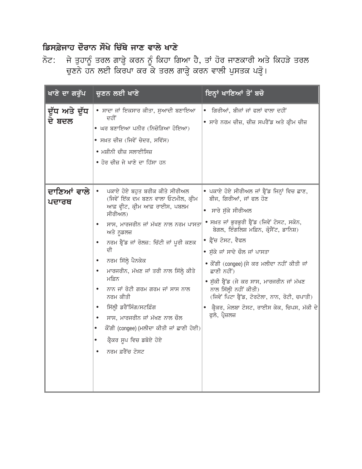#### ਡਿਸਫ਼ੇਜਾਹ ਦੌਰਾਨ ਸੌਖੇ ਚਿੱਥੇ ਜਾਣ ਵਾਲੇ ਖਾਣੇ

ਜੇ ਤੁਹਾਨੂੰ ਤਰਲ ਗਾੜ੍ਹੇ ਕਰਨ ਨੂੰ ਕਿਹਾ ਗਿਆ ਹੈ, ਤਾਂ ਹੋਰ ਜਾਣਕਾਰੀ ਅਤੇ ਕਿਹੜੇ ਤਰਲ<br>ਚੁਣਨੇ ਹਨ ਲਈ ਕਿਰਪਾ ਕਰ ਕੇ ਤਰਲ ਗਾੜ੍ਹੇ ਕਰਨ ਵਾਲੀ ਪੁਸਤਕ ਪੜ੍ਹੋ। ਨੋਟ:

| ਖਾਣੇ ਦਾ ਗਰੁੱਪ           | <u>ਚੁਣਨ ਲਈ ਖਾਣੇ</u>                                                                                                                                                                                                                                                                                                                                                                                                                                                                                                                               | ਇਨ੍ਹਾਂ ਖਾਣਿਆਂ ਤੋਂ ਬਚੋ                                                                                                                                                                                                                                                                                                                                                                                                                                                                                           |
|-------------------------|---------------------------------------------------------------------------------------------------------------------------------------------------------------------------------------------------------------------------------------------------------------------------------------------------------------------------------------------------------------------------------------------------------------------------------------------------------------------------------------------------------------------------------------------------|-----------------------------------------------------------------------------------------------------------------------------------------------------------------------------------------------------------------------------------------------------------------------------------------------------------------------------------------------------------------------------------------------------------------------------------------------------------------------------------------------------------------|
| ਦੁੱਧ ਅਤੇ ਦੁੱਧ<br>ਦੇ ਬਦਲ | • ਸਾਦਾ ਜਾਂ ਇਕਸਾਰ ਕੀਤਾ, ਸੁਆਦੀ ਬਣਾਇਆ<br>ਦਹੀਂ<br>• ਘਰ ਬਣਾਇਆ ਪਨੀਰ (ਨਿਚੋੜਿਆ ਹੋਇਆ)<br>• ਸਖ਼ਤ ਚੀਜ਼ (ਜਿਵੇਂ ਚੇਦਰ, ਸਵਿੱਸ)<br>● ਮਸ਼ੀਨੀ ਚੀਜ਼ ਸਲਾਈਸਿਜ਼<br>● ਹੋਰ ਚੀਜ਼ ਜੇ ਖਾਣੇ ਦਾ ਹਿੱਸਾ ਹਨ                                                                                                                                                                                                                                                                                                                                                                       | ਗਿਰੀਆਂ, ਬੀਜਾਂ ਜਾਂ ਫਲਾਂ ਵਾਲਾ ਦਹੀਂ<br>$\bullet$<br>● ਸਾਰੇ ਨਰਮ ਚੀਜ਼, ਚੀਜ਼ ਸਪਰੈੱਡ ਅਤੇ ਕ੍ਰੀਮ ਚੀਜ਼                                                                                                                                                                                                                                                                                                                                                                                                                    |
| ਦਾਣਿਆਂ ਵਾਲੇ<br>ਪਦਾਰਥ    | ਪਕਾਏ ਹੋਏ ਬਹੁਤ ਬਰੀਕ ਕੀਤੇ ਸੀਰੀਅਲ<br>$\bullet$<br>(ਜਿਵੇਂ ਇੱਕ ਦਮ ਬਣਨ ਵਾਲਾ ਓਟਮੀਲ, ਕ੍ਰੀਮ<br>ਆਫ਼ ਵ੍ਹੀਟ, ਕ੍ਰੀਮ ਆਫ਼ ਰਾਈਸ, ਪਬਲਮ<br>ਸੀਰੀਅਲ)<br>ਸਾਸ, ਮਾਰਜਰੀਨ ਜਾਂ ਮੱਖਣ ਨਾਲ ਨਰਮ ਪਾਸਤਾ<br>ਅਤੇ ਨੁਡਲਜ਼<br>ਨਰਮ ਬ੍ਰੈੱਡ ਜਾਂ ਰੋਲਜ਼: ਚਿੱਟੀ ਜਾਂ ਪੂਰੀ ਕਣਕ<br>ਦੀ<br>ਨਰਮ ਸਿੱਲ੍ਹੇ ਪੈਨਕੇਕ<br>$\bullet$<br>ਮਾਰਜਰੀਨ, ਮੱਖਣ ਜਾਂ ਤਰੀ ਨਾਲ ਸਿੱਲ੍ਹੇ ਕੀਤੇ<br>ਮਫ਼ਿਨ<br>ਨਾਨ ਜਾਂ ਰੋਟੀ ਗਰਮ ਗਰਮ ਜਾਂ ਸਾਸ ਨਾਲ<br>$\bullet$<br>ਨਰਮ ਕੀਤੀ<br>ਸਿੱਲ੍ਹੀ ਡਰੈੱਸਿੰਗ/ਸਟਫ਼ਿੰਗ<br>ਸਾਸ, ਮਾਰਜਰੀਨ ਜਾਂ ਮੱਖਣ ਨਾਲ ਚੌਲ<br>ਕੌਂਗੀ (congee) (ਮਲੀਦਾ ਕੀਤੀ ਜਾਂ ਛਾਣੀ ਹੋਈ)<br>ਕ੍ਰੈਕਰ ਸੁਪ ਵਿਚ ਡਬੋਏ ਹੋਏ<br>ਨਰਮ ਫ਼ਰੈਂਚ ਟੋਸਟ | ∙ ਪਕਾਏ ਹੋਏ ਸੀਰੀਅਲ ਜਾਂ ਬ੍ਰੈੱਡ ਜਿਨ੍ਹਾਂ ਵਿਚ ਛਾਣ,<br>ਬੀਜ, ਗਿਰੀਆਂ, ਜਾਂ ਫਲ ਹੋਣ<br>● ਸਾਰੇ ਸੁੱਕੇ ਸੀਰੀਅਲ<br>● ਸਖ਼ਤ ਜਾਂ ਭੁਰਭੁਰੀ ਬ੍ਰੈੱਡ (ਜਿਵੇਂ ਟੋਸਟ, ਸਕੋਨ,<br>ਬੇਗਲ, ਇੰਗਲਿਸ਼ ਮਫ਼ਿਨ, ਕ੍ਰੋਸੈਂਟ, ਡਾਨਿਸ਼)<br>● ਫ਼੍ਰੈਂਚ ਟੋਸਟ, ਵੈਫਲ<br>● ਸੁੱਕੇ ਜਾਂ ਸਾਦੇ ਚੌਲ ਜਾਂ ਪਾਸਤਾ<br>• ਕੌਂਗੀ (congee) (ਜੇ ਕਰ ਮਲੀਦਾ ਨਹੀਂ ਕੀਤੀ ਜਾਂ<br>ਛਾਣੀ ਨਹੀਂ)<br>● ਸੁੱਕੀ ਬ੍ਰੈੱਡ (ਜੇ ਕਰ ਸਾਸ, ਮਾਰਜਰੀਨ ਜਾਂ ਮੱਖਣ<br>ਨਾਲ ਸਿੱਲ੍ਹੀ ਨਹੀਂ ਕੀਤੀ)<br>(ਜਿਵੇਂ ਪਿਟਾ ਬ੍ਰੈੱਡ, ਟੋਰਟੋਲਾ, ਨਾਨ, ਰੋਟੀ, ਚਪਾਤੀ)<br>● ਕ੍ਰੈਕਰ, ਮੇਲਬਾ ਟੋਸਟ, ਰਾਈਸ ਕੇਕ, ਚਿਪਸ, ਮੱਕੀ ਦੇ<br>ਫੁਲੇ, ਪ੍ਰੈਜ਼ਲਜ਼ |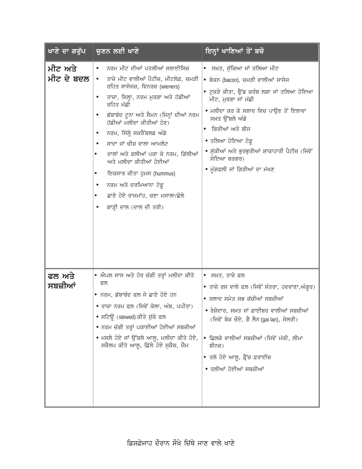| ਖਾਣੇ ਦਾ ਗਰੁੱਪ         | ਚੁਣਨ ਲਈ ਖਾਣੇ                                                                                                                                                                                                                                                                                                                                                                                                                                                                                    | ਇਨ੍ਹਾਂ ਖਾਣਿਆਂ ਤੋਂ ਬਚੋ                                                                                                                                                                                                                                                                                                                                   |
|-----------------------|-------------------------------------------------------------------------------------------------------------------------------------------------------------------------------------------------------------------------------------------------------------------------------------------------------------------------------------------------------------------------------------------------------------------------------------------------------------------------------------------------|---------------------------------------------------------------------------------------------------------------------------------------------------------------------------------------------------------------------------------------------------------------------------------------------------------------------------------------------------------|
| ਮੀਟ ਅਤੇ<br>ਮੀਟ ਦੇ ਬਦਲ | ਨਰਮ ਮੀਟ ਦੀਆਂ ਪਤਲੀਆਂ ਸਲਾਈਸਿਜ਼<br>ਤਾਜ਼ੇ ਮੀਟ ਵਾਲੀਆਂ ਪੈਟੀਜ਼, ਮੀਟਲੋਫ਼, ਚਮੜੀ<br>ਰਹਿਤ ਸਾਸੇਜਜ਼, ਵਿਨਰਜ਼ (wieners)<br>ਤਾਜ਼ਾ, ਸਿਲ੍ਹਾ, ਨਰਮ ਮੁਰਗਾ ਅਤੇ ਹੱਡੀਆਂ<br>ਰਹਿਤ ਮੱਛੀ<br>ਡੱਬਾਬੰਦ ਟੂਨਾ ਅਤੇ ਸੈਮਨ (ਜਿਨ੍ਹਾਂ ਦੀਆਂ ਨਰਮ<br>ਹੱਡੀਆਂ ਮਲੀਦਾ ਕੀਤੀਆਂ ਹੋਣ)<br>ਨਰਮ, ਸਿੱਲ੍ਹੇ ਸਕਰੈਂਬਲਡ ਅੰਡੇ<br>ਸਾਦਾ ਜਾਂ ਚੀਜ਼ ਵਾਲਾ ਆਮਲੇਟ<br>ਦਾਲਾਂ ਅਤੇ ਫਲੀਆਂ ਪਕਾ ਕੇ ਨਰਮ, ਗਿੱਲੀਆਂ<br>ਅਤੇ ਮਲੀਦਾ ਕੀਤੀਆਂ ਹੋਈਆਂ<br>ਇਕਸਾਰ ਕੀਤਾ ਹੁਮਸ (hummus)<br>$\bullet$<br>ਨਰਮ ਅਤੇ ਦਰਮਿਆਨਾ ਟੋਫ਼ੂ<br>ਛਾਣੇ ਹੋਏ ਰਾਜਮਾਂਹ, ਚਣਾ ਮਸਾਲਾ/ਛੋਲੇ<br>ਗਾੜ੍ਹੀ ਦਾਲ (ਦਾਲ ਦੀ ਤਰੀ) | • ਸਖ਼ਤ, ਸੁੱਕਿਆ ਜਾਂ ਤਲਿਆ ਮੀਟ<br>• ਬੇਕਨ (bacon), ਚਮੜੀ ਵਾਲੀਆਂ ਸਾਸੇਜ<br>● ਟੁਕੜੇ ਕੀਤਾ, ਬ੍ਰੈੱਡ ਕਰੰਬ ਲਗਾ ਜਾਂ ਤਲਿਆ ਹੋਇਆ<br>ਮੀਟ, ਮੁਰਗਾ ਜਾਂ ਮੱਛੀ<br>● ਮਲੀਦਾ ਕਰ ਕੇ ਸਲਾਦ ਵਿਚ ਪਾਉਣ ਤੋਂ ਇਲਾਵਾ<br>ਸਖ਼ਤ ਉੱਬਲੇ ਅੰਡੇ<br>ਗਿਰੀਆਂ ਅਤੇ ਬੀਜ<br>$\bullet$<br>● ਤਲਿਆ ਹੋਇਆ ਟੋਫ਼ੁ<br>● ਸੁੱਕੀਆਂ ਅਤੇ ਭੁਰਭੁਰੀਆਂ ਸ਼ਾਕਾਹਾਰੀ ਪੈਟੀਜ਼ (ਜਿਵੇਂ<br>ਸੋਇਆ ਬਰਗਰ)<br>• ਮੁੰਗਫਲੀ ਜਾਂ ਗਿਰੀਆਂ ਦਾ ਮੱਖਣ |
| ਫਲ ਅਤੇ<br>ਸਬਜ਼ੀਆਂ     | ● ਐਪਲ ਸਾਸ ਅਤੇ ਹੋਰ ਚੰਗੀ ਤਰ੍ਹਾਂ ਮਲੀਦਾ ਕੀਤੇ<br>ਫਲ<br>● ਨਰਮ, ਡੱਬਾਬੰਦ ਫਲ ਜੇ ਛਾਣੇ ਹੋਏ ਹਨ<br>● ਤਾਜ਼ਾ ਨਰਮ ਫਲ (ਜਿਵੇਂ ਕੇਲਾ, ਅੰਬ, ਪਪੀਤਾ)<br>● ਸਟਿਊ (stewed)ਕੀਤੇ ਸੁੱਕੇ ਫਲ<br>• ਨਰਮ ਚੰਗੀ ਤਰ੍ਹਾਂ ਪਕਾਈਆਂ ਹੋਈਆਂ ਸਬਜ਼ੀਆਂ<br>• ਮਸਲੇ ਹੋਏ ਜਾਂ ਉੱਬਲੇ ਆਲੂ, ਮਲੀਦਾ ਕੀਤੇ ਹੋਏ,<br>ਸਕੈਲਪ ਕੀਤੇ ਆਲੂ, ਛਿੱਲੇ ਹੋਏ ਸੁਕੈਸ਼, ਯੈਮ                                                                                                                                                                                                   | ● ਸਖ਼ਤ, ਤਾਜ਼ੇ ਫਲ<br>● ਤਾਜ਼ੇ ਰਸ ਵਾਲੇ ਫਲ (ਜਿਵੇਂ ਸੰਤਰਾ, ਹਦਵਾਣਾ,ਅੰਗੁਰ)<br>● ਸਲਾਦ ਸਮੇਤ ਸਭ ਕੱਚੀਆਂ ਸਬਜ਼ੀਆਂ<br>• ਰੇਸ਼ੇਦਾਰ, ਸਖ਼ਤ ਜਾਂ ਫ਼ਾਈਬਰ ਵਾਲੀਆਂ ਸਬਜ਼ੀਆਂ<br>(ਜਿਵੇਂ ਬੋਕ ਚੌਏ, ਗੈ ਲੈਨ (gai lan), ਸੇਲਰੀ)<br>● ਛਿਲਕੇ ਵਾਲੀਆਂ ਸਬਜ਼ੀਆਂ (ਜਿਵੇਂ ਮੱਕੀ, ਲੀਮਾ<br>ਬੀਨਜ਼)<br>● ਤਲੇ ਹੋਏ ਆਲੂ, ਫ਼੍ਰੈਂਚ ਫ਼ਰਾਈਜ਼<br>• ਤਲੀਆਂ ਹੋਈਆਂ ਸਬਜ਼ੀਆਂ                                          |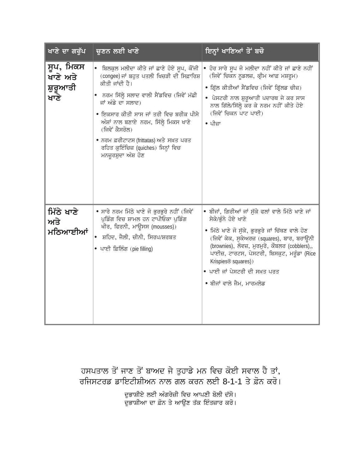| ਖਾਣੇ ਦਾ ਗਰੁੱਪ                             | ਚੁਣਨ ਲਈ ਖਾਣੇ                                                                                                                                                                                                                                                                                                                                                                                     | ਇਨ੍ਹਾਂ ਖਾਣਿਆਂ ਤੋਂ ਬਚੋ                                                                                                                                                                                                                                                                                                                                                        |
|-------------------------------------------|--------------------------------------------------------------------------------------------------------------------------------------------------------------------------------------------------------------------------------------------------------------------------------------------------------------------------------------------------------------------------------------------------|------------------------------------------------------------------------------------------------------------------------------------------------------------------------------------------------------------------------------------------------------------------------------------------------------------------------------------------------------------------------------|
| ਸੁਪ, ਮਿਕਸ<br>ਖਾਣੇ ਅਤੇ<br>ਸ਼ੁਰੂਆਤੀ<br>ਖਾਣੇ | ● ਬਿਲਕੁਲ ਮਲੀਦਾ ਕੀਤੇ ਜਾਂ ਛਾਣੇ ਹੋਏ ਸੁਪ, ਕੌਂਜੀ<br>(congee) ਜਾਂ ਬਹੁਤ ਪਤਲੀ ਖਿਚੜੀ ਦੀ ਸਿਫ਼ਾਰਿਸ਼<br>ਕੀਤੀ ਜਾਂਦੀ ਹੈ।<br>●   ਨਰਮ ਸਿੱਲ੍ਹੇ ਸਲਾਦ ਵਾਲੀ ਸੈਂਡਵਿਚ (ਜਿਵੇਂ ਮੱਛੀ<br>ਜਾਂ ਅੰਡੇ ਦਾ ਸਲਾਦ)<br>● ਇਕਸਾਰ ਕੀਤੀ ਸਾਸ ਜਾਂ ਤਰੀ ਵਿਚ ਬਰੀਕ ਪੀਸੇ<br>ਅੰਸ਼ਾਂ ਨਾਲ ਬਣਾਏ ਨਰਮ, ਸਿੱਲ੍ਹੇ ਮਿਕਸ ਖਾਣੇ<br>(ਜਿਵੇਂ ਕੈਸਰੋਲ)<br>• ਨਰਮ ਫ਼ਰੀਟਾਟਸ (frittatas) ਅਤੇ ਸਖ਼ਤ ਪਰਤ<br>ਰਹਿਤ ਕੁਇੰਚਿਜ਼ (quiches) ਜਿਨ੍ਹਾਂ ਵਿਚ<br>ਮਨਜ਼ੁਰਸ਼ੁਦਾ ਅੰਸ਼ ਹੋਣ | ਹੋਰ ਸਾਰੇ ਸੁਪ ਜੋ ਮਲੀਦਾ ਨਹੀਂ ਕੀਤੇ ਜਾਂ ਛਾਣੇ ਨਹੀਂ<br>(ਜਿਵੇਂ ਚਿਕਨ ਨੁਡਲਜ਼, ਕ੍ਰੀਮ ਆਫ਼ ਮਸ਼ਰੂਮ)<br>● ਗ੍ਰਿੱਲ ਕੀਤੀਆਂ ਸੈਂਡਵਿਚ (ਜਿਵੇਂ ਗ੍ਰਿੱਲਡ ਚੀਜ਼)<br>● ਪੇਸਟਰੀ ਨਾਲ ਸ਼ੁਰੂਆਤੀ ਪਦਾਰਥ ਜੇ ਕਰ ਸਾਸ<br>ਨਾਲ ਗਿੱਲੇ/ਸਿੱਲ੍ਹੇ ਕਰ ਕੇ ਨਰਮ ਨਹੀਂ ਕੀਤੇ ਹੋਏ<br>(ਜਿਵੇਂ ਚਿਕਨ ਪਾਟ ਪਾਈ)<br>∙ ਪੀਜ਼ਾ                                                                                                              |
| ਮਿੱਠੇ ਖਾਣੇ<br>ਅਤੇ<br>ਮਠਿਆਈਆਂ              | • ਸਾਰੇ ਨਰਮ ਮਿੱਠੇ ਖਾਣੇ ਜੋ ਭੁਰਭੁਰੇ ਨਹੀਂ (ਜਿਵੇਂ<br>ਪੁਡਿੰਗ ਵਿਚ ਸ਼ਾਮਲ ਹਨ ਟਾਪੀਓਕਾ ਪੁਡਿੰਗ<br>ਖੀਰ, ਫਿਰਨੀ, ਮਾਉਸਸ (mousses))<br>ਸ਼ਹਿਦ, ਜੈਲੀ, ਚੀਨੀ, ਸਿਰਪ/ਸ਼ਰਬਤ<br>• ਪਾਈ ਫ਼ਿਲਿੰਗ (pie filling)                                                                                                                                                                                                               | ● ਬੀਜਾਂ, ਗਿਰੀਆਂ ਜਾਂ ਸੁੱਕੇ ਫਲਾਂ ਵਾਲੇ ਮਿੱਠੇ ਖਾਣੇ ਜਾਂ<br>ਸੇਕੇ/ਭੰਨੇ ਹੋਏ ਖਾਣੇ<br>● ਮਿੱਠੇ ਖਾਣੇ ਜੋ ਸੁੱਕੇ, ਭੁਰਭੁਰੇ ਜਾਂ ਚਿੱਥਣ ਵਾਲੇ ਹੋਣ<br>(ਜਿਵੇਂ ਕੇਕ, ਸੁਕੇਅਰਜ਼ (squares), ਬਾਰ, ਬਰਾਊਨੀ<br>(brownies), ਲੋਵਜ਼, ਮੁਰਮੁਰੇ, ਕੌਬਲਰ (cobblers),,<br>ਪਾਈਜ਼, ਟਾਰਟਸ, ਪੇਸਟਰੀ, ਬਿਸਕੂਟ, ਮਰੁੰਡਾ (Rice<br>Krispies <sup>®</sup> squares))<br>● ਪਾਈ ਜਾਂ ਪੇਸਟਰੀ ਦੀ ਸਖ਼ਤ ਪਰਤ<br>● ਬੀਜਾਂ ਵਾਲੇ ਜੈਮ, ਮਾਰਮਲੇਡ |

ਹਸਪਤਾਲ ਤੋਂ ਜਾਣ ਤੋਂ ਬਾਅਦ ਜੇ ਤੁਹਾਡੇ ਮਨ ਵਿਚ ਕੋਈ ਸਵਾਲ ਹੈ ਤਾਂ, ਰਜਿਸਟਰਡ ਡਾਇਟੀਸ਼ੀਅਨ ਨਾਲ ਗੱਲ ਕਰਨ ਲਈ 8-1-1 ਤੇ ਫ਼ੋਨ ਕਰੋ।

> ਦੁਭਾਸ਼ੀਏ ਲਈ ਅੰਗਰੇਜ਼ੀ ਵਿਚ ਆਪਣੀ ਬੋਲੀ ਦੱਸੋ। ਦੂਤ ....ਤ ਹਨ। ਜਹਾਣੇ... ...ਤ ... .... .....<br>ਦੁਭਾਸ਼ੀਆ ਦਾ ਫ਼ੋਨ ਤੇ ਆਉਣ ਤੱਕ ਇੰਤਜ਼ਾਰ ਕਰੋ।